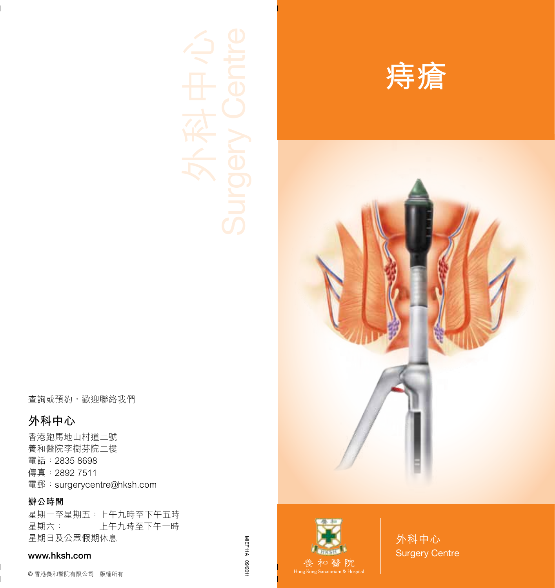**痔瘡**





外科中心 Surgery Centre

查詢或預約,歡迎聯絡我們

### **外科中心**

香港跑馬地山村道二號 養和醫院李樹芬院二樓 電話:2835 8698 傳真:2892 7511 電郵:surgerycentre@hksh.com

#### **辦公時間**

星期一至星期五:上午九時至下午五時 星期六: 上午九時至下午一時 星期日及公眾假期休息

#### www.hksh.com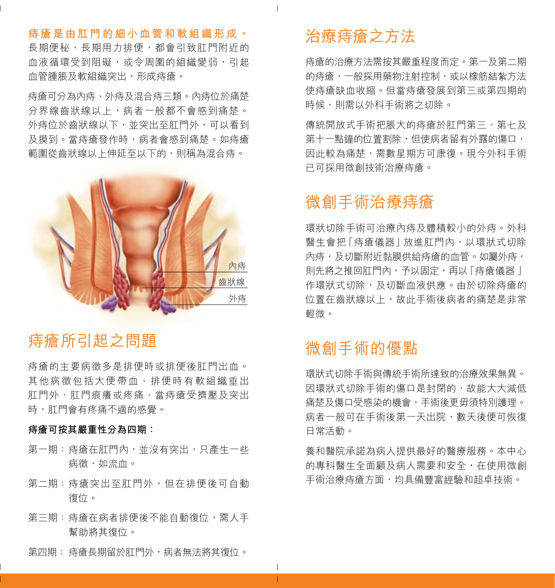**痔瘡是由肛門的細小血管和軟組織形成。** 長期便秘、長期用力排便,都會引致肛門附近的 血液循環受到阻礙,或令周圍的組織變弱,引起 血管腫脹及軟組織突出,形成痔瘡。

痔瘡可分為內痔、外痔及混合痔三類。內痔位於痛楚 分界線齒狀線以上,病者一般都不會感到痛楚。 外痔位於齒狀線以下,並突出至肛門外,可以看到 及摸到。當痔瘡發作時,病者會感到痛楚。如痔瘡 範圍從齒狀線以上伸延至以下的,則稱為混合痔。



# 痔瘡所引起之問題

痔瘡的主要病徵多是排便時或排便後肛門出血。 其他病徵包括大便帶血、排便時有軟組織垂出 肛門外、肛門痕癢或疼痛、當痔瘡受擠壓及突出 時,肛門會有疼痛不適的感覺。

#### **痔瘡可按其嚴重性分為四期:**

- 第一期:痔瘡在肛門內,並沒有突出,只產生一些 病徵,如流血。
- 第二期:痔瘡突出至肛門外,但在排便後可自動 復位。
- 第三期:痔瘡在病者排便後不能自動復位,需人手 幫助將其復位。
- 第四期: 痔瘡長期留於肛門外,病者無法將其復位。

# 治療痔瘡之方法

 $\mathbf{I}$ 

 $\mathbf{I}$ T 痔瘡的治療方法需按其嚴重程度而定。第一及第二期 的痔瘡,一般採用藥物注射控制,或以橡筋結紮方法 使痔瘡缺血收縮。但當痔瘡發展到第三或第四期的 時候,則需以外科手術將之切除。

傳統開放式手術把脹大的痔瘡於肛門第三、第七及 第十一點鐘的位置割除,但使病者留有外露的傷口, 因此較為痛楚,需數星期方可康復。現今外科手術 已可採用微創技術治療痔瘡。

## 微創手術治療痔瘡

環狀切除手術可治療內痔及體積較小的外痔。外科 醫生會把「痔瘡儀器」放進肛門內,以環狀式切除 內痔,及切斷附近黏膜供給痔瘡的血管。如屬外痔, 則先將之推回肛門內,予以固定,再以「痔瘡儀器 」 作環狀式切除,及切斷血液供應。由於切除痔瘡的 位置在齒狀線以上,故此手術後病者的痛楚是非常 輕微。

## 微創手術的優點

環狀式切除手術與傳統手術所達致的治療效果無異。 因環狀式切除手術的傷口是封閉的,故能大大減低 痛楚及傷口受感染的機會,手術後更毋須特別護理。 病者一般可在手術後第一天出院,數天後便可恢復 日常活動。

養和醫院承諾為病人提供最好的醫療服務。本中心 的專科醫生全面顧及病人需要和安全,在使用微創 手術治療痔瘡方面,均具備豐富經驗和超卓技術。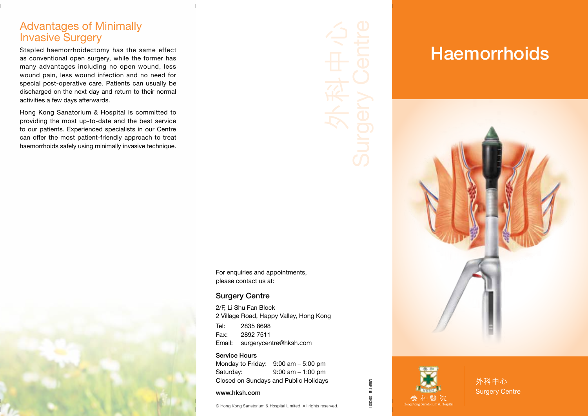## Advantages of Minimally Invasive Surgery

Stapled haemorrhoidectomy has the same effect as conventional open surgery, while the former has many advantages including no open wound, less wound pain, less wound infection and no need for special post-operative care. Patients can usually be discharged on the next day and return to their normal activities a few days afterwards.

Hong Kong Sanatorium & Hospital is committed to providing the most up-to-date and the best service to our patients. Experienced specialists in our Centre can offer the most patient-friendly approach to treat haemorrhoids safely using minimally invasive technique.



#### For enquiries and appointments, please contact us at:

#### Surgery Centre

2/F, Li Shu Fan Block 2 Village Road, Happy Valley, Hong Kong Tel: 2835 8698 Fax: 2892 7511 Email: surgerycentre@hksh.com

Service Hours Monday to Friday: 9:00 am – 5:00 pm Saturday: 9:00 am – 1:00 pm Closed on Sundays and Public Holidays

#### www.hksh.com

© Hong Kong Sanatorium & Hospital Limited. All rights reserved.

# **Haemorrhoids**





MIEF11B 09/2011

1102/60

MIEF11B

外科中心 Surgery Centre